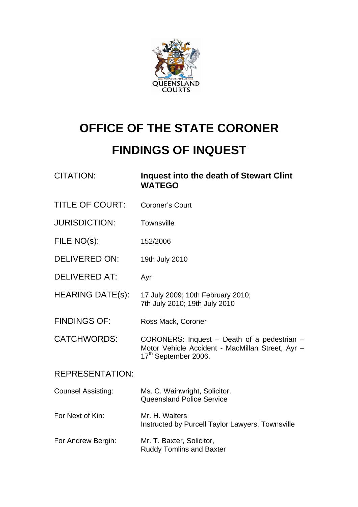

## **OFFICE OF THE STATE CORONER**

## **FINDINGS OF INQUEST**

| <b>CITATION:</b>          | Inquest into the death of Stewart Clint<br><b>WATEGO</b>                                                                            |
|---------------------------|-------------------------------------------------------------------------------------------------------------------------------------|
| <b>TITLE OF COURT:</b>    | <b>Coroner's Court</b>                                                                                                              |
| <b>JURISDICTION:</b>      | Townsville                                                                                                                          |
| FILE NO(s):               | 152/2006                                                                                                                            |
| <b>DELIVERED ON:</b>      | 19th July 2010                                                                                                                      |
| <b>DELIVERED AT:</b>      | Ayr                                                                                                                                 |
| <b>HEARING DATE(s):</b>   | 17 July 2009; 10th February 2010;<br>7th July 2010; 19th July 2010                                                                  |
| <b>FINDINGS OF:</b>       | Ross Mack, Coroner                                                                                                                  |
| <b>CATCHWORDS:</b>        | CORONERS: Inquest - Death of a pedestrian -<br>Motor Vehicle Accident - MacMillan Street, Ayr -<br>17 <sup>th</sup> September 2006. |
| <b>REPRESENTATION:</b>    |                                                                                                                                     |
| <b>Counsel Assisting:</b> | Ms. C. Wainwright, Solicitor,<br><b>Queensland Police Service</b>                                                                   |
| For Next of Kin:          | Mr. H. Walters<br>Instructed by Purcell Taylor Lawyers, Townsville                                                                  |
| For Andrew Bergin:        | Mr. T. Baxter, Solicitor,<br><b>Ruddy Tomlins and Baxter</b>                                                                        |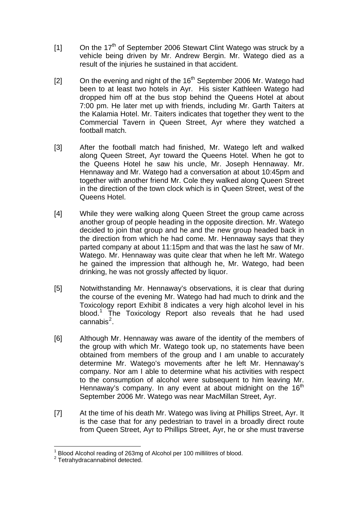- $[1]$  On the 17<sup>th</sup> of September 2006 Stewart Clint Watego was struck by a vehicle being driven by Mr. Andrew Bergin. Mr. Watego died as a result of the injuries he sustained in that accident.
- [2] On the evening and night of the  $16<sup>th</sup>$  September 2006 Mr. Watego had been to at least two hotels in Ayr. His sister Kathleen Watego had dropped him off at the bus stop behind the Queens Hotel at about 7:00 pm. He later met up with friends, including Mr. Garth Taiters at the Kalamia Hotel. Mr. Taiters indicates that together they went to the Commercial Tavern in Queen Street, Ayr where they watched a football match.
- [3] After the football match had finished, Mr. Watego left and walked along Queen Street, Ayr toward the Queens Hotel. When he got to the Queens Hotel he saw his uncle, Mr. Joseph Hennaway. Mr. Hennaway and Mr. Watego had a conversation at about 10:45pm and together with another friend Mr. Cole they walked along Queen Street in the direction of the town clock which is in Queen Street, west of the Queens Hotel.
- [4] While they were walking along Queen Street the group came across another group of people heading in the opposite direction. Mr. Watego decided to join that group and he and the new group headed back in the direction from which he had come. Mr. Hennaway says that they parted company at about 11:15pm and that was the last he saw of Mr. Watego. Mr. Hennaway was quite clear that when he left Mr. Watego he gained the impression that although he, Mr. Watego, had been drinking, he was not grossly affected by liquor.
- [5] Notwithstanding Mr. Hennaway's observations, it is clear that during the course of the evening Mr. Watego had had much to drink and the Toxicology report Exhibit 8 indicates a very high alcohol level in his blood.<sup>[1](#page-1-0)</sup> The Toxicology Report also reveals that he had used cannabis $^2$  $^2$ .
- [6] Although Mr. Hennaway was aware of the identity of the members of the group with which Mr. Watego took up, no statements have been obtained from members of the group and I am unable to accurately determine Mr. Watego's movements after he left Mr. Hennaway's company. Nor am I able to determine what his activities with respect to the consumption of alcohol were subsequent to him leaving Mr. Hennaway's company. In any event at about midnight on the  $16<sup>th</sup>$ September 2006 Mr. Watego was near MacMillan Street, Ayr.
- [7] At the time of his death Mr. Watego was living at Phillips Street, Ayr. It is the case that for any pedestrian to travel in a broadly direct route from Queen Street, Ayr to Phillips Street, Ayr, he or she must traverse

 1 Blood Alcohol reading of 263mg of Alcohol per 100 millilitres of blood.

<span id="page-1-1"></span><span id="page-1-0"></span><sup>2</sup> Tetrahydracannabinol detected.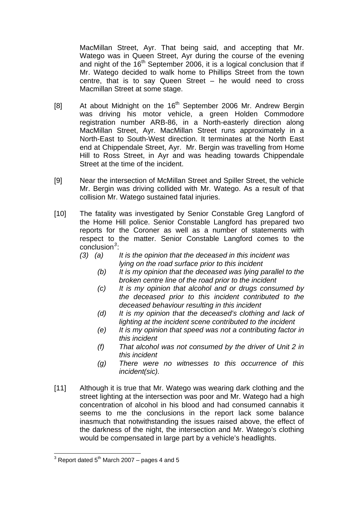MacMillan Street, Ayr. That being said, and accepting that Mr. Watego was in Queen Street, Ayr during the course of the evening and night of the  $16<sup>th</sup>$  September 2006, it is a logical conclusion that if Mr. Watego decided to walk home to Phillips Street from the town centre, that is to say Queen Street – he would need to cross Macmillan Street at some stage.

- [8] At about Midnight on the 16<sup>th</sup> September 2006 Mr. Andrew Bergin was driving his motor vehicle, a green Holden Commodore registration number ARB-86, in a North-easterly direction along MacMillan Street, Ayr. MacMillan Street runs approximately in a North-East to South-West direction. It terminates at the North East end at Chippendale Street, Ayr. Mr. Bergin was travelling from Home Hill to Ross Street, in Ayr and was heading towards Chippendale Street at the time of the incident.
- [9] Near the intersection of McMillan Street and Spiller Street, the vehicle Mr. Bergin was driving collided with Mr. Watego. As a result of that collision Mr. Watego sustained fatal injuries.
- [10] The fatality was investigated by Senior Constable Greg Langford of the Home Hill police. Senior Constable Langford has prepared two reports for the Coroner as well as a number of statements with respect to the matter. Senior Constable Langford comes to the conclusion*[3](#page-2-0)* :
	- *(3) (a) It is the opinion that the deceased in this incident was lying on the road surface prior to this incident* 
		- *(b) It is my opinion that the deceased was lying parallel to the broken centre line of the road prior to the incident*
		- *(c) It is my opinion that alcohol and or drugs consumed by the deceased prior to this incident contributed to the deceased behaviour resulting in this incident*
		- *(d) It is my opinion that the deceased's clothing and lack of lighting at the incident scene contributed to the incident*
		- *(e) It is my opinion that speed was not a contributing factor in this incident*
		- *(f) That alcohol was not consumed by the driver of Unit 2 in this incident*
		- *(g) There were no witnesses to this occurrence of this incident(sic).*
- [11] Although it is true that Mr. Watego was wearing dark clothing and the street lighting at the intersection was poor and Mr. Watego had a high concentration of alcohol in his blood and had consumed cannabis it seems to me the conclusions in the report lack some balance inasmuch that notwithstanding the issues raised above, the effect of the darkness of the night, the intersection and Mr. Watego's clothing would be compensated in large part by a vehicle's headlights.

<span id="page-2-0"></span> $\frac{3}{10}$  Report dated 5<sup>th</sup> March 2007 – pages 4 and 5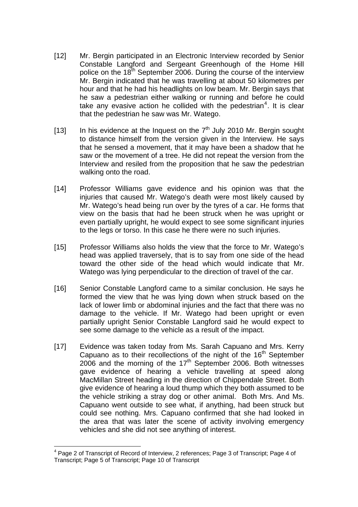- [12] Mr. Bergin participated in an Electronic Interview recorded by Senior Constable Langford and Sergeant Greenhough of the Home Hill police on the  $18<sup>th</sup>$  September 2006. During the course of the interview Mr. Bergin indicated that he was travelling at about 50 kilometres per hour and that he had his headlights on low beam. Mr. Bergin says that he saw a pedestrian either walking or running and before he could take any evasive action he collided with the pedestrian<sup>[4](#page-3-0)</sup>. It is clear that the pedestrian he saw was Mr. Watego.
- [13] In his evidence at the Inquest on the  $7<sup>th</sup>$  July 2010 Mr. Bergin sought to distance himself from the version given in the Interview. He says that he sensed a movement, that it may have been a shadow that he saw or the movement of a tree. He did not repeat the version from the Interview and resiled from the proposition that he saw the pedestrian walking onto the road.
- [14] Professor Williams gave evidence and his opinion was that the injuries that caused Mr. Watego's death were most likely caused by Mr. Watego's head being run over by the tyres of a car. He forms that view on the basis that had he been struck when he was upright or even partially upright, he would expect to see some significant injuries to the legs or torso. In this case he there were no such injuries.
- [15] Professor Williams also holds the view that the force to Mr. Watego's head was applied traversely, that is to say from one side of the head toward the other side of the head which would indicate that Mr. Watego was lying perpendicular to the direction of travel of the car.
- [16] Senior Constable Langford came to a similar conclusion. He says he formed the view that he was lying down when struck based on the lack of lower limb or abdominal injuries and the fact that there was no damage to the vehicle. If Mr. Watego had been upright or even partially upright Senior Constable Langford said he would expect to see some damage to the vehicle as a result of the impact.
- [17] Evidence was taken today from Ms. Sarah Capuano and Mrs. Kerry Capuano as to their recollections of the night of the  $16<sup>th</sup>$  September 2006 and the morning of the  $17<sup>th</sup>$  September 2006. Both witnesses gave evidence of hearing a vehicle travelling at speed along MacMillan Street heading in the direction of Chippendale Street. Both give evidence of hearing a loud thump which they both assumed to be the vehicle striking a stray dog or other animal. Both Mrs. And Ms. Capuano went outside to see what, if anything, had been struck but could see nothing. Mrs. Capuano confirmed that she had looked in the area that was later the scene of activity involving emergency vehicles and she did not see anything of interest.

<span id="page-3-0"></span> $\overline{a}$ <sup>4</sup> Page 2 of Transcript of Record of Interview, 2 references; Page 3 of Transcript; Page 4 of Transcript; Page 5 of Transcript; Page 10 of Transcript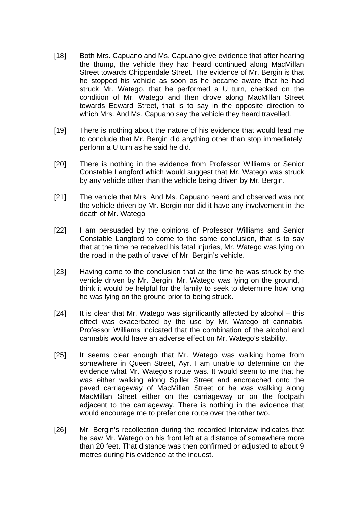- [18] Both Mrs. Capuano and Ms. Capuano give evidence that after hearing the thump, the vehicle they had heard continued along MacMillan Street towards Chippendale Street. The evidence of Mr. Bergin is that he stopped his vehicle as soon as he became aware that he had struck Mr. Watego, that he performed a U turn, checked on the condition of Mr. Watego and then drove along MacMillan Street towards Edward Street, that is to say in the opposite direction to which Mrs. And Ms. Capuano say the vehicle they heard travelled.
- [19] There is nothing about the nature of his evidence that would lead me to conclude that Mr. Bergin did anything other than stop immediately, perform a U turn as he said he did.
- [20] There is nothing in the evidence from Professor Williams or Senior Constable Langford which would suggest that Mr. Watego was struck by any vehicle other than the vehicle being driven by Mr. Bergin.
- [21] The vehicle that Mrs. And Ms. Capuano heard and observed was not the vehicle driven by Mr. Bergin nor did it have any involvement in the death of Mr. Watego
- [22] I am persuaded by the opinions of Professor Williams and Senior Constable Langford to come to the same conclusion, that is to say that at the time he received his fatal injuries, Mr. Watego was lying on the road in the path of travel of Mr. Bergin's vehicle.
- [23] Having come to the conclusion that at the time he was struck by the vehicle driven by Mr. Bergin, Mr. Watego was lying on the ground, I think it would be helpful for the family to seek to determine how long he was lying on the ground prior to being struck.
- [24] It is clear that Mr. Watego was significantly affected by alcohol this effect was exacerbated by the use by Mr. Watego of cannabis. Professor Williams indicated that the combination of the alcohol and cannabis would have an adverse effect on Mr. Watego's stability.
- [25] It seems clear enough that Mr. Watego was walking home from somewhere in Queen Street, Ayr. I am unable to determine on the evidence what Mr. Watego's route was. It would seem to me that he was either walking along Spiller Street and encroached onto the paved carriageway of MacMillan Street or he was walking along MacMillan Street either on the carriageway or on the footpath adjacent to the carriageway. There is nothing in the evidence that would encourage me to prefer one route over the other two.
- [26] Mr. Bergin's recollection during the recorded Interview indicates that he saw Mr. Watego on his front left at a distance of somewhere more than 20 feet. That distance was then confirmed or adjusted to about 9 metres during his evidence at the inquest.